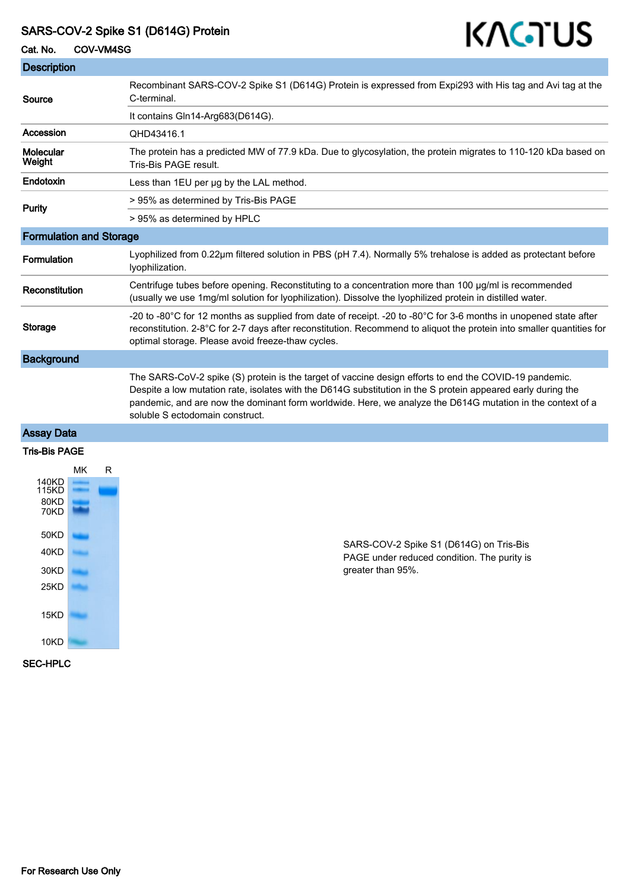# SARS-COV-2 Spike S1 (D614G) Protein

| KAGTUS<br>SARS-COV-2 Spike S1 (D614G) Protein<br>Cat. No.<br>COV-VM4SG |                                                                                                                                                                                                                                                                                                                                                                         |  |
|------------------------------------------------------------------------|-------------------------------------------------------------------------------------------------------------------------------------------------------------------------------------------------------------------------------------------------------------------------------------------------------------------------------------------------------------------------|--|
|                                                                        |                                                                                                                                                                                                                                                                                                                                                                         |  |
| Source                                                                 | Recombinant SARS-COV-2 Spike S1 (D614G) Protein is expressed from Expi293 with His tag and Avi tag at the<br>C-terminal.                                                                                                                                                                                                                                                |  |
|                                                                        | It contains Gln14-Arg683(D614G).                                                                                                                                                                                                                                                                                                                                        |  |
| Accession                                                              | QHD43416.1                                                                                                                                                                                                                                                                                                                                                              |  |
| Molecular<br>Weight                                                    | The protein has a predicted MW of 77.9 kDa. Due to glycosylation, the protein migrates to 110-120 kDa based on<br>Tris-Bis PAGE result.                                                                                                                                                                                                                                 |  |
| Endotoxin                                                              | Less than 1EU per ug by the LAL method.                                                                                                                                                                                                                                                                                                                                 |  |
| Purity                                                                 | > 95% as determined by Tris-Bis PAGE                                                                                                                                                                                                                                                                                                                                    |  |
|                                                                        | > 95% as determined by HPLC                                                                                                                                                                                                                                                                                                                                             |  |
| <b>Formulation and Storage</b>                                         |                                                                                                                                                                                                                                                                                                                                                                         |  |
| Formulation                                                            | Lyophilized from 0.22µm filtered solution in PBS (pH 7.4). Normally 5% trehalose is added as protectant before<br>Iyophilization.                                                                                                                                                                                                                                       |  |
| Reconstitution                                                         | Centrifuge tubes before opening. Reconstituting to a concentration more than 100 µg/ml is recommended<br>(usually we use 1mg/ml solution for lyophilization). Dissolve the lyophilized protein in distilled water.                                                                                                                                                      |  |
| Storage                                                                | -20 to -80°C for 12 months as supplied from date of receipt. -20 to -80°C for 3-6 months in unopened state after<br>reconstitution. 2-8°C for 2-7 days after reconstitution. Recommend to aliquot the protein into smaller quantities for<br>optimal storage. Please avoid freeze-thaw cycles.                                                                          |  |
| <b>Background</b>                                                      |                                                                                                                                                                                                                                                                                                                                                                         |  |
|                                                                        | The SARS-CoV-2 spike (S) protein is the target of vaccine design efforts to end the COVID-19 pandemic.<br>Despite a low mutation rate, isolates with the D614G substitution in the S protein appeared early during the<br>pandemic, and are now the dominant form worldwide. Here, we analyze the D614G mutation in the context of a<br>soluble S ectodomain construct. |  |

# Assay Data

#### Tris-Bis PAGE



SARS-COV-2 Spike S1 (D614G) on Tris-Bis PAGE under reduced condition. The purity is greater than 95%.

#### SEC-HPLC